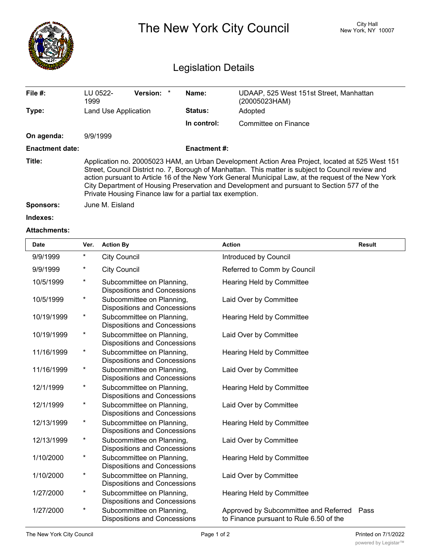|                        | City Hall<br>The New York City Council<br>New York, NY 10007<br><b>Legislation Details</b>                                                                                                                                                                                                                                                                                                                                                                             |                    |                                                          |  |  |  |
|------------------------|------------------------------------------------------------------------------------------------------------------------------------------------------------------------------------------------------------------------------------------------------------------------------------------------------------------------------------------------------------------------------------------------------------------------------------------------------------------------|--------------------|----------------------------------------------------------|--|--|--|
| File #:                | <b>Version:</b><br>LU 0522-<br>1999                                                                                                                                                                                                                                                                                                                                                                                                                                    | Name:              | UDAAP, 525 West 151st Street, Manhattan<br>(20005023HAM) |  |  |  |
| Type:                  | Land Use Application                                                                                                                                                                                                                                                                                                                                                                                                                                                   | <b>Status:</b>     | Adopted                                                  |  |  |  |
|                        |                                                                                                                                                                                                                                                                                                                                                                                                                                                                        | In control:        | Committee on Finance                                     |  |  |  |
| On agenda:             | 9/9/1999                                                                                                                                                                                                                                                                                                                                                                                                                                                               |                    |                                                          |  |  |  |
| <b>Enactment date:</b> |                                                                                                                                                                                                                                                                                                                                                                                                                                                                        | <b>Enactment#:</b> |                                                          |  |  |  |
| Title:                 | Application no. 20005023 HAM, an Urban Development Action Area Project, located at 525 West 151<br>Street, Council District no. 7, Borough of Manhattan. This matter is subject to Council review and<br>action pursuant to Article 16 of the New York General Municipal Law, at the request of the New York<br>City Department of Housing Preservation and Development and pursuant to Section 577 of the<br>Private Housing Finance law for a partial tax exemption. |                    |                                                          |  |  |  |
| <b>Sponsors:</b>       | June M. Eisland                                                                                                                                                                                                                                                                                                                                                                                                                                                        |                    |                                                          |  |  |  |
|                        |                                                                                                                                                                                                                                                                                                                                                                                                                                                                        |                    |                                                          |  |  |  |

**Indexes:**

## **Attachments:**

| <b>Date</b> | Ver.     | <b>Action By</b>                                                 | <b>Action</b>                                                                    | <b>Result</b> |
|-------------|----------|------------------------------------------------------------------|----------------------------------------------------------------------------------|---------------|
| 9/9/1999    | *        | <b>City Council</b>                                              | Introduced by Council                                                            |               |
| 9/9/1999    | *        | <b>City Council</b>                                              | Referred to Comm by Council                                                      |               |
| 10/5/1999   | $^\star$ | Subcommittee on Planning,<br><b>Dispositions and Concessions</b> | <b>Hearing Held by Committee</b>                                                 |               |
| 10/5/1999   | $\star$  | Subcommittee on Planning,<br><b>Dispositions and Concessions</b> | Laid Over by Committee                                                           |               |
| 10/19/1999  | $\star$  | Subcommittee on Planning,<br><b>Dispositions and Concessions</b> | <b>Hearing Held by Committee</b>                                                 |               |
| 10/19/1999  | $^\star$ | Subcommittee on Planning,<br><b>Dispositions and Concessions</b> | Laid Over by Committee                                                           |               |
| 11/16/1999  | $\star$  | Subcommittee on Planning,<br>Dispositions and Concessions        | <b>Hearing Held by Committee</b>                                                 |               |
| 11/16/1999  | $^\star$ | Subcommittee on Planning,<br><b>Dispositions and Concessions</b> | Laid Over by Committee                                                           |               |
| 12/1/1999   | $\star$  | Subcommittee on Planning,<br><b>Dispositions and Concessions</b> | <b>Hearing Held by Committee</b>                                                 |               |
| 12/1/1999   | $\star$  | Subcommittee on Planning,<br><b>Dispositions and Concessions</b> | Laid Over by Committee                                                           |               |
| 12/13/1999  | $\star$  | Subcommittee on Planning,<br><b>Dispositions and Concessions</b> | Hearing Held by Committee                                                        |               |
| 12/13/1999  | $^\star$ | Subcommittee on Planning,<br><b>Dispositions and Concessions</b> | Laid Over by Committee                                                           |               |
| 1/10/2000   | *        | Subcommittee on Planning,<br><b>Dispositions and Concessions</b> | Hearing Held by Committee                                                        |               |
| 1/10/2000   | $^\star$ | Subcommittee on Planning,<br><b>Dispositions and Concessions</b> | Laid Over by Committee                                                           |               |
| 1/27/2000   | $^\star$ | Subcommittee on Planning,<br><b>Dispositions and Concessions</b> | Hearing Held by Committee                                                        |               |
| 1/27/2000   | *        | Subcommittee on Planning,<br><b>Dispositions and Concessions</b> | Approved by Subcommittee and Referred<br>to Finance pursuant to Rule 6.50 of the | Pass          |

<u>Council and</u>